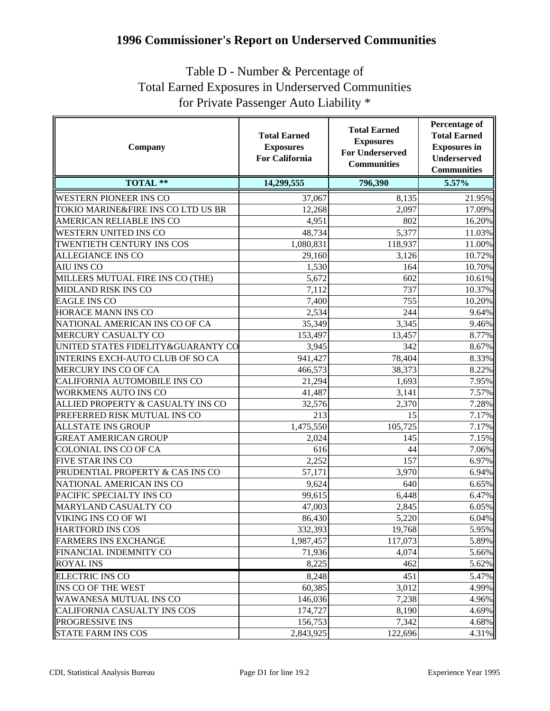## **1996 Commissioner's Report on Underserved Communities**

## Table D - Number & Percentage of Total Earned Exposures in Underserved Communities for Private Passenger Auto Liability \*

| Company                                 | <b>Total Earned</b><br><b>Exposures</b><br><b>For California</b> | <b>Total Earned</b><br><b>Exposures</b><br><b>For Underserved</b><br><b>Communities</b> | <b>Percentage of</b><br><b>Total Earned</b><br><b>Exposures</b> in<br><b>Underserved</b><br><b>Communities</b> |
|-----------------------------------------|------------------------------------------------------------------|-----------------------------------------------------------------------------------------|----------------------------------------------------------------------------------------------------------------|
| <b>TOTAL **</b>                         | 14,299,555                                                       | 796,390                                                                                 | 5.57%                                                                                                          |
| <b>WESTERN PIONEER INS CO</b>           | 37,067                                                           | 8,135                                                                                   | 21.95%                                                                                                         |
| TOKIO MARINE&FIRE INS CO LTD US BR      | 12,268                                                           | 2,097                                                                                   | 17.09%                                                                                                         |
| AMERICAN RELIABLE INS CO                | 4,951                                                            | 802                                                                                     | 16.20%                                                                                                         |
| <b>WESTERN UNITED INS CO</b>            | 48,734                                                           | 5,377                                                                                   | 11.03%                                                                                                         |
| TWENTIETH CENTURY INS COS               | 1,080,831                                                        | 118,937                                                                                 | 11.00%                                                                                                         |
| <b>ALLEGIANCE INS CO</b>                | 29,160                                                           | 3,126                                                                                   | 10.72%                                                                                                         |
| <b>AIU INS CO</b>                       | 1,530                                                            | 164                                                                                     | 10.70%                                                                                                         |
| MILLERS MUTUAL FIRE INS CO (THE)        | 5,672                                                            | 602                                                                                     | 10.61%                                                                                                         |
| <b>MIDLAND RISK INS CO</b>              | 7,112                                                            | 737                                                                                     | 10.37%                                                                                                         |
| <b>EAGLE INS CO</b>                     | 7,400                                                            | 755                                                                                     | 10.20%                                                                                                         |
| HORACE MANN INS CO                      | 2,534                                                            | 244                                                                                     | 9.64%                                                                                                          |
| NATIONAL AMERICAN INS CO OF CA          | 35,349                                                           | 3,345                                                                                   | 9.46%                                                                                                          |
| MERCURY CASUALTY CO                     | 153,497                                                          | 13,457                                                                                  | 8.77%                                                                                                          |
| UNITED STATES FIDELITY & GUARANTY CO    | 3,945                                                            | 342                                                                                     | 8.67%                                                                                                          |
| <b>INTERINS EXCH-AUTO CLUB OF SO CA</b> | 941,427                                                          | 78,404                                                                                  | 8.33%                                                                                                          |
| MERCURY INS CO OF CA                    | 466,573                                                          | 38,373                                                                                  | 8.22%                                                                                                          |
| CALIFORNIA AUTOMOBILE INS CO            | 21,294                                                           | 1,693                                                                                   | 7.95%                                                                                                          |
| <b>WORKMENS AUTO INS CO</b>             | 41,487                                                           | 3,141                                                                                   | 7.57%                                                                                                          |
| ALLIED PROPERTY & CASUALTY INS CO       | 32,576                                                           | 2,370                                                                                   | 7.28%                                                                                                          |
| PREFERRED RISK MUTUAL INS CO            | 213                                                              | 15                                                                                      | 7.17%                                                                                                          |
| <b>ALLSTATE INS GROUP</b>               | 1,475,550                                                        | 105,725                                                                                 | 7.17%                                                                                                          |
| <b>GREAT AMERICAN GROUP</b>             | 2,024                                                            | 145                                                                                     | 7.15%                                                                                                          |
| <b>COLONIAL INS CO OF CA</b>            | 616                                                              | 44                                                                                      | 7.06%                                                                                                          |
| <b>FIVE STAR INS CO</b>                 | 2,252                                                            | 157                                                                                     | 6.97%                                                                                                          |
| PRUDENTIAL PROPERTY & CAS INS CO        | 57,171                                                           | 3,970                                                                                   | 6.94%                                                                                                          |
| NATIONAL AMERICAN INS CO                | 9,624                                                            | 640                                                                                     | 6.65%                                                                                                          |
| PACIFIC SPECIALTY INS CO                | 99,615                                                           | 6,448                                                                                   | 6.47%                                                                                                          |
| MARYLAND CASUALTY CO                    | 47,003                                                           | 2,845                                                                                   | 6.05%                                                                                                          |
| VIKING INS CO OF WI                     | 86,430                                                           | 5,220                                                                                   | 6.04%                                                                                                          |
| <b>HARTFORD INS COS</b>                 | 332,393                                                          | 19,768                                                                                  | 5.95%                                                                                                          |
| <b>FARMERS INS EXCHANGE</b>             | 1,987,457                                                        | 117,073                                                                                 | 5.89%                                                                                                          |
| FINANCIAL INDEMNITY CO                  | 71,936                                                           | 4,074                                                                                   | 5.66%                                                                                                          |
| <b>ROYAL INS</b>                        | 8,225                                                            | 462                                                                                     | 5.62%                                                                                                          |
| <b>ELECTRIC INS CO</b>                  | 8,248                                                            | 451                                                                                     | 5.47%                                                                                                          |
| INS CO OF THE WEST                      | 60,385                                                           | 3,012                                                                                   | 4.99%                                                                                                          |
| <b>WAWANESA MUTUAL INS CO</b>           | 146,036                                                          | 7,238                                                                                   | 4.96%                                                                                                          |
| CALIFORNIA CASUALTY INS COS             | 174,727                                                          | 8,190                                                                                   | 4.69%                                                                                                          |
| PROGRESSIVE INS                         | 156,753                                                          | 7,342                                                                                   | 4.68%                                                                                                          |
| <b>STATE FARM INS COS</b>               | 2,843,925                                                        | 122,696                                                                                 | 4.31%                                                                                                          |